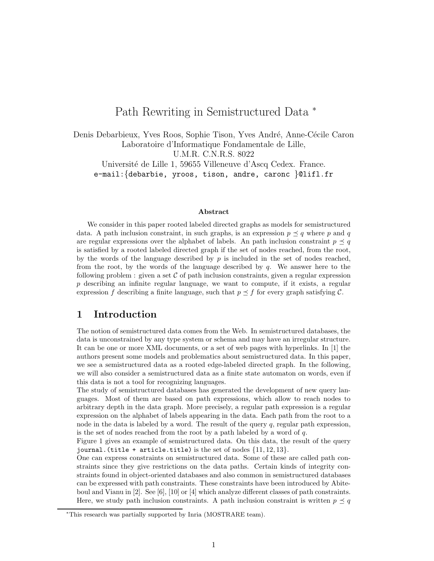# Path Rewriting in Semistructured Data <sup>∗</sup>

Denis Debarbieux, Yves Roos, Sophie Tison, Yves André, Anne-Cécile Caron Laboratoire d'Informatique Fondamentale de Lille, U.M.R. C.N.R.S. 8022 Université de Lille 1, 59655 Villeneuve d'Ascq Cedex. France.

e-mail:{debarbie, yroos, tison, andre, caronc }@lifl.fr

#### Abstract

We consider in this paper rooted labeled directed graphs as models for semistructured data. A path inclusion constraint, in such graphs, is an expression  $p \preceq q$  where p and q are regular expressions over the alphabet of labels. An path inclusion constraint  $p \preceq q$ is satisfied by a rooted labeled directed graph if the set of nodes reached, from the root, by the words of the language described by  $p$  is included in the set of nodes reached, from the root, by the words of the language described by  $q$ . We answer here to the following problem : given a set  $\mathcal C$  of path inclusion constraints, given a regular expression  $p$  describing an infinite regular language, we want to compute, if it exists, a regular expression f describing a finite language, such that  $p \leq f$  for every graph satisfying C.

# 1 Introduction

The notion of semistructured data comes from the Web. In semistructured databases, the data is unconstrained by any type system or schema and may have an irregular structure. It can be one or more XML documents, or a set of web pages with hyperlinks. In [1] the authors present some models and problematics about semistructured data. In this paper, we see a semistructured data as a rooted edge-labeled directed graph. In the following, we will also consider a semistructured data as a finite state automaton on words, even if this data is not a tool for recognizing languages.

The study of semistructured databases has generated the development of new query languages. Most of them are based on path expressions, which allow to reach nodes to arbitrary depth in the data graph. More precisely, a regular path expression is a regular expression on the alphabet of labels appearing in the data. Each path from the root to a node in the data is labeled by a word. The result of the query  $q$ , regular path expression, is the set of nodes reached from the root by a path labeled by a word of  $q$ .

Figure 1 gives an example of semistructured data. On this data, the result of the query journal. (title + article.title) is the set of nodes  $\{11, 12, 13\}$ .

One can express constraints on semistructured data. Some of these are called path constraints since they give restrictions on the data paths. Certain kinds of integrity constraints found in object-oriented databases and also common in semistructured databases can be expressed with path constraints. These constraints have been introduced by Abiteboul and Vianu in [2]. See [6], [10] or [4] which analyze different classes of path constraints. Here, we study path inclusion constraints. A path inclusion constraint is written  $p \preceq q$ 

<sup>∗</sup>This research was partially supported by Inria (MOSTRARE team).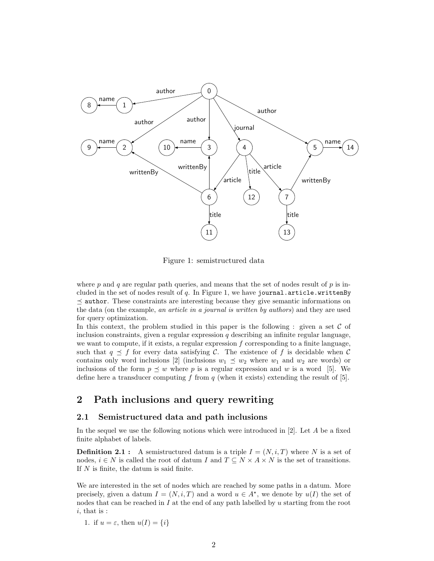

Figure 1: semistructured data

where p and q are regular path queries, and means that the set of nodes result of p is included in the set of nodes result of  $q$ . In Figure 1, we have journal.article.writtenBy  $\prec$  author. These constraints are interesting because they give semantic informations on the data (on the example, an article in a journal is written by authors) and they are used for query optimization.

In this context, the problem studied in this paper is the following : given a set  $C$  of inclusion constraints, given a regular expression  $q$  describing an infinite regular language, we want to compute, if it exists, a regular expression  $f$  corresponding to a finite language, such that  $q \preceq f$  for every data satisfying C. The existence of f is decidable when C contains only word inclusions  $[2]$  (inclusions  $w_1 \preceq w_2$  where  $w_1$  and  $w_2$  are words) or inclusions of the form  $p \preceq w$  where p is a regular expression and w is a word [5]. We define here a transducer computing f from  $q$  (when it exists) extending the result of [5].

# 2 Path inclusions and query rewriting

### 2.1 Semistructured data and path inclusions

In the sequel we use the following notions which were introduced in  $[2]$ . Let A be a fixed finite alphabet of labels.

**Definition 2.1 :** A semistructured datum is a triple  $I = (N, i, T)$  where N is a set of nodes,  $i \in N$  is called the root of datum I and  $T \subseteq N \times A \times N$  is the set of transitions. If N is finite, the datum is said finite.

We are interested in the set of nodes which are reached by some paths in a datum. More precisely, given a datum  $I = (N, i, T)$  and a word  $u \in A^*$ , we denote by  $u(I)$  the set of nodes that can be reached in  $I$  at the end of any path labelled by u starting from the root  $i$ , that is :

1. if  $u = \varepsilon$ , then  $u(I) = \{i\}$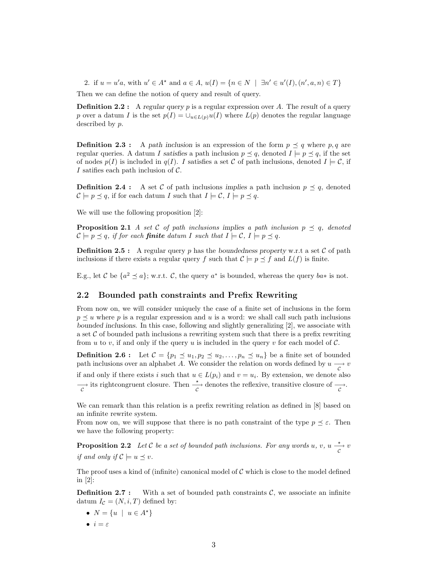2. if  $u = u'a$ , with  $u' \in A^*$  and  $a \in A$ ,  $u(I) = \{n \in N \mid \exists n' \in u'(I), (n', a, n) \in T\}$ 

Then we can define the notion of query and result of query.

**Definition 2.2 :** A regular query p is a regular expression over A. The result of a query p over a datum I is the set  $p(I) = \bigcup_{u \in L(p)} u(I)$  where  $L(p)$  denotes the regular language described by p.

**Definition 2.3 :** A path inclusion is an expression of the form  $p \preceq q$  where p, q are regular queries. A datum I satisfies a path inclusion  $p \preceq q$ , denoted  $I \models p \preceq q$ , if the set of nodes  $p(I)$  is included in  $q(I)$ . I satisfies a set C of path inclusions, denoted  $I \models C$ , if I satifies each path inclusion of  $\mathcal{C}$ .

**Definition 2.4 :** A set C of path inclusions implies a path inclusion  $p \preceq q$ , denoted  $\mathcal{C} \models p \preceq q$ , if for each datum I such that  $I \models \mathcal{C}, I \models p \preceq q$ .

We will use the following proposition [2]:

**Proposition 2.1** A set C of path inclusions implies a path inclusion  $p \preceq q$ , denoted  $\mathcal{C} \models p \preceq q$ , if for each **finite** datum I such that  $I \models \mathcal{C}, I \models p \preceq q$ .

**Definition 2.5 :** A regular query p has the boundedness property w.r.t a set  $C$  of path inclusions if there exists a regular query f such that  $\mathcal{C} \models p \preceq f$  and  $L(f)$  is finite.

E.g., let C be  $\{a^2 \leq a\}$ ; w.r.t. C, the query  $a^*$  is bounded, whereas the query  $ba^*$  is not.

### 2.2 Bounded path constraints and Prefix Rewriting

From now on, we will consider uniquely the case of a finite set of inclusions in the form  $p \prec u$  where p is a regular expression and u is a word: we shall call such path inclusions bounded inclusions. In this case, following and slightly generalizing [2], we associate with a set  $\mathcal C$  of bounded path inclusions a rewriting system such that there is a prefix rewriting from u to v, if and only if the query u is included in the query v for each model of  $\mathcal{C}$ .

**Definition 2.6 :** Let  $C = \{p_1 \leq u_1, p_2 \leq u_2, \ldots, p_n \leq u_n\}$  be a finite set of bounded path inclusions over an alphabet A. We consider the relation on words defined by  $u \longrightarrow v$ if and only if there exists i such that  $u \in L(p_i)$  and  $v = u_i$ . By extension, we denote also  $\overrightarrow{c}$  its rightcongruent closure. Then  $\overrightarrow{c}$  denotes the reflexive, transitive closure of  $\overrightarrow{c}$ .

We can remark than this relation is a prefix rewriting relation as defined in [8] based on an infinite rewrite system.

From now on, we will suppose that there is no path constraint of the type  $p \preceq \varepsilon$ . Then we have the following property:

**Proposition 2.2** Let C be a set of bounded path inclusions. For any words u, v, u  $\frac{\star}{c}$  v if and only if  $\mathcal{C} \models u \prec v$ .

The proof uses a kind of (infinite) canonical model of  $C$  which is close to the model defined in [2]:

**Definition 2.7 :** With a set of bounded path constraints  $\mathcal{C}$ , we associate an infinite datum  $I_{\mathcal{C}} = (N, i, T)$  defined by:

- $N = \{u \mid u \in A^{\star}\}\$
- $\bullet i = \varepsilon$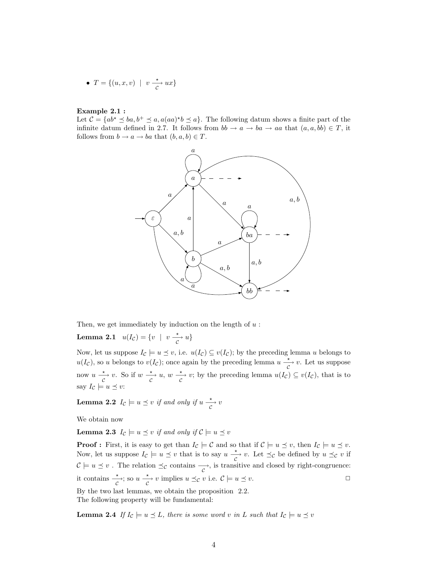• 
$$
T = \{(u, x, v) \mid v \xrightarrow{*} ux\}
$$

#### Example 2.1 :

Let  $\mathcal{C} = \{ab^* \le ba, b^+ \le a, a(aa)^*b \le a\}$ . The following datum shows a finite part of the infinite datum defined in 2.7. It follows from  $bb \rightarrow a \rightarrow ba \rightarrow aa$  that  $(a, a, bb) \in T$ , it follows from  $b \to a \to ba$  that  $(b, a, b) \in T$ .



Then, we get immediately by induction on the length of  $u$ :

**Lemma 2.1**  $u(I_{\mathcal{C}}) = \{v \mid v \xrightarrow[c]{*} u\}$ 

Now, let us suppose  $I_c \models u \preceq v$ , i.e.  $u(I_c) \subseteq v(I_c)$ ; by the preceding lemma u belongs to  $u(I_{\mathcal{C}})$ , so u belongs to  $v(I_{\mathcal{C}})$ ; once again by the preceding lemma  $u \xrightarrow[{\mathcal{C}}]{} v$ . Let us suppose now  $u \xrightarrow[c]{*} v$ . So if  $w \xrightarrow[c]{*} u$ ,  $w \xrightarrow[c]{*} v$ ; by the preceding lemma  $u(I_{\mathcal{C}}) \subseteq v(I_{\mathcal{C}})$ , that is to say  $I_{\mathcal{C}} \models u \preceq v$ :

**Lemma 2.2**  $I_c \models u \preceq v$  if and only if  $u \xrightarrow[c]{*} v$ 

We obtain now

**Lemma 2.3**  $I_c \models u \preceq v$  if and only if  $C \models u \preceq v$ 

**Proof :** First, it is easy to get than  $I_{\mathcal{C}} \models \mathcal{C}$  and so that if  $\mathcal{C} \models u \preceq v$ , then  $I_{\mathcal{C}} \models u \preceq v$ . Now, let us suppose  $I_c \models u \preceq v$  that is to say  $u \xrightarrow[c]{*} v$ . Let  $\preceq_c$  be defined by  $u \preceq_c v$  if  $C \models u \preceq v$ . The relation  $\preceq_C$  contains  $\rightarrow_C$ , is transitive and closed by right-congruence: it contains  $\frac{\star}{c}$ ; so  $u \frac{\star}{c} v$  implies  $u \preceq_{\mathcal{C}} v$  i.e.  $\mathcal{C} \models u \preceq v$ .

By the two last lemmas, we obtain the proposition 2.2. The following property will be fundamental:

**Lemma 2.4** If  $I_c \models u \preceq L$ , there is some word v in L such that  $I_c \models u \preceq v$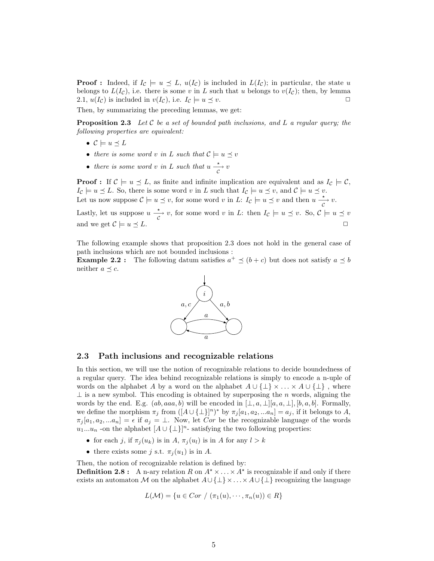**Proof**: Indeed, if  $I_c \models u \preceq L$ ,  $u(I_c)$  is included in  $L(I_c)$ ; in particular, the state u belongs to  $L(I_c)$ , i.e. there is some v in L such that u belongs to  $v(I_c)$ ; then, by lemma 2.1,  $u(I_{\mathcal{C}})$  is included in  $v(I_{\mathcal{C}})$ , i.e.  $I_{\mathcal{C}} \models u \preceq v$ .

Then, by summarizing the preceding lemmas, we get:

**Proposition 2.3** Let C be a set of bounded path inclusions, and L a regular query; the following properties are equivalent:

- $\mathcal{C} \models u \preceq L$
- there is some word v in L such that  $\mathcal{C} \models u \preceq v$
- there is some word v in L such that  $u \xrightarrow[{}]{} v$

**Proof :** If  $\mathcal{C} \models u \preceq L$ , as finite and infinite implication are equivalent and as  $I_{\mathcal{C}} \models \mathcal{C}$ ,  $I_{\mathcal{C}} \models u \preceq L$ . So, there is some word v in L such that  $I_{\mathcal{C}} \models u \preceq v$ , and  $\mathcal{C} \models u \preceq v$ . Let us now suppose  $C \models u \preceq v$ , for some word v in L:  $I_C \models u \preceq v$  and then  $u \xrightarrow[ C ]{} v$ .

Lastly, let us suppose  $u \frac{\star}{c} v$ , for some word v in L: then  $I_c \models u \preceq v$ . So,  $c \models u \preceq v$ and we get  $\mathcal{C} \models u \preceq L$ .

The following example shows that proposition 2.3 does not hold in the general case of path inclusions which are not bounded inclusions :

**Example 2.2**: The following datum satisfies  $a^+ \preceq (b+c)$  but does not satisfy  $a \preceq b$ neither  $a \preceq c$ .



#### 2.3 Path inclusions and recognizable relations

In this section, we will use the notion of recognizable relations to decide boundedness of a regular query. The idea behind recognizable relations is simply to encode a n-uple of words on the alphabet A by a word on the alphabet  $A \cup {\perp} \times ... \times A \cup {\perp}$ , where  $\perp$  is a new symbol. This encoding is obtained by superposing the n words, aligning the words by the end. E.g.  $(ab, aaa, b)$  will be encoded in  $[\bot, a, \bot][a, a, \bot], [b, a, b]$ . Formally, we define the morphism  $\pi_j$  from  $([A \cup \{\perp\}]^n)^*$  by  $\pi_j[a_1, a_2, ... a_n] = a_j$ , if it belongs to A,  $\pi_j [a_1, a_2, ... a_n] = \epsilon$  if  $a_j = \bot$ . Now, let Cor be the recognizable language of the words  $u_1...u_n$  -on the alphabet  $[A \cup {\{\perp\}}]^n$ - satisfying the two following properties:

- for each j, if  $\pi_i(u_k)$  is in A,  $\pi_i(u_l)$  is in A for any  $l > k$
- there exists some j s.t.  $\pi_i(u_1)$  is in A.

Then, the notion of recognizable relation is defined by: **Definition 2.8**: A n-ary relation R on  $A^* \times \ldots \times A^*$  is recognizable if and only if there exists an automaton M on the alphabet  $A \cup \{\perp\} \times ... \times A \cup \{\perp\}$  recognizing the language

$$
L(\mathcal{M}) = \{ u \in Cor \ / \ (\pi_1(u), \cdots, \pi_n(u)) \in R \}
$$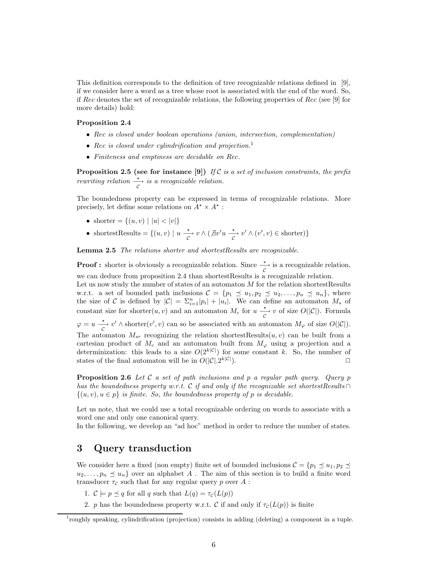This definition corresponds to the definition of tree recognizable relations defined in [9], if we consider here a word as a tree whose root is associated with the end of the word. So, if Rec denotes the set of recognizable relations, the following properties of Rec (see [9] for more details) hold:

#### Proposition 2.4

- Rec is closed under boolean operations (union, intersection, complementation)
- Rec is closed under cylindrification and projection.<sup>1</sup>
- Finiteness and emptiness are decidable on Rec.

**Proposition 2.5 (see for instance [9])** If C is a set of inclusion constraints, the prefix rewriting relation  $\frac{1}{c}$  is a recognizable relation.

The boundedness property can be expressed in terms of recognizable relations. More precisely, let define some relations on  $A^* \times A^*$ :

- shorter =  $\{(u, v) | |u| < |v|\}$
- shortestResults =  $\{(u, v) | u \xrightarrow[c]{*} v \wedge (\nexists v'u \xrightarrow[c]{*} v' \wedge (v', v) \in shorter)\}$

Lemma 2.5 The relations shorter and shortestResults are recognizable.

**Proof :** shorter is obviously a recognizable relation. Since  $\frac{\star}{c}$  is a recognizable relation, we can deduce from proposition 2.4 than shortestResults is a recognizable relation.

Let us now study the number of states of an automaton  $M$  for the relation shortestResults w.r.t. a set of bounded path inclusions  $C = \{p_1 \leq u_1, p_2 \leq u_2, \ldots, p_n \leq u_n\}$ , where the size of C is defined by  $|\mathcal{C}| = \sum_{i=1}^n |p_i| + |u_i|$ . We can define an automaton  $M_s$  of constant size for shorter $(u, v)$  and an automaton  $M_c$  for  $u \xrightarrow[c]{*} v$  of size  $O(|\mathcal{C}|)$ . Formula  $\varphi = u \frac{\star}{c}$  v'  $\wedge$  shorter $(v', v)$  can so be associated with an automaton  $M_{\varphi}$  of size  $O(|\mathcal{C}|)$ . The automaton  $M_{sr}$  recognizing the relation shortestResults $(u, v)$  can be built from a cartesian product of  $M_c$  and an automaton built from  $M_{\varphi}$  using a projection and a determinization: this leads to a size  $O(2^{k|\mathcal{C}|})$  for some constant k. So, the number of states of the final automaton will be in  $O(|\mathcal{C}| \cdot 2^{k|\mathcal{C}|})$ .  $k|\mathcal{C}|$ ).

**Proposition 2.6** Let C a set of path inclusions and p a regular path query. Query p has the boundedness property w.r.t. C if and only if the recognizable set shortestResults ∩  $\{(u, v), u \in p\}$  is finite. So, the boundedness property of p is decidable.

Let us note, that we could use a total recognizable ordering on words to associate with a word one and only one canonical query.

In the following, we develop an "ad hoc" method in order to reduce the number of states.

### 3 Query transduction

We consider here a fixed (non empty) finite set of bounded inclusions  $\mathcal{C} = \{p_1 \preceq u_1, p_2 \preceq$  $u_2, \ldots, p_n \preceq u_n$  over an alphabet A. The aim of this section is to build a finite word transducer  $\tau_c$  such that for any regular query p over A :

- 1.  $\mathcal{C} \models p \preceq q$  for all q such that  $L(q) = \tau_c(L(p))$
- 2. p has the boundedness property w.r.t. C if and only if  $\tau_c(L(p))$  is finite

<sup>&</sup>lt;sup>1</sup>roughly speaking, cylindrification (projection) consists in adding (deleting) a component in a tuple.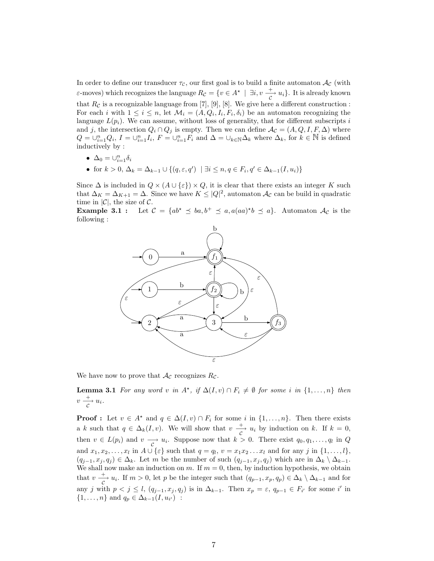In order to define our transducer  $\tau_c$ , our first goal is to build a finite automaton  $\mathcal{A}_c$  (with ε-moves) which recognizes the language  $R_C = \{v \in A^* \mid \exists i, v \frac{+}{C}, u_i\}$ . It is already known that  $R_c$  is a recognizable language from [7], [9], [8]. We give here a different construction : For each *i* with  $1 \leq i \leq n$ , let  $\mathcal{M}_i = (A, Q_i, I_i, F_i, \delta_i)$  be an automaton recognizing the language  $L(p_i)$ . We can assume, without loss of generality, that for different subscripts i and j, the intersection  $Q_i \cap Q_j$  is empty. Then we can define  $\mathcal{A}_{\mathcal{C}} = (A, Q, I, F, \Delta)$  where  $Q = \bigcup_{i=1}^{n} Q_i, I = \bigcup_{i=1}^{n} I_i, F = \bigcup_{i=1}^{n} F_i$  and  $\Delta = \bigcup_{k \in \mathbb{N}} \Delta_k$  where  $\Delta_k$ , for  $k \in \mathbb{N}$  is defined inductively by :

- $\Delta_0 = \bigcup_{i=1}^n \delta_i$
- for  $k > 0$ ,  $\Delta_k = \Delta_{k-1} \cup \{(q, \varepsilon, q') \mid \exists i \leq n, q \in F_i, q' \in \Delta_{k-1}(I, u_i)\}\$

Since  $\Delta$  is included in  $Q \times (A \cup \{\varepsilon\}) \times Q$ , it is clear that there exists an integer K such that  $\Delta_K = \Delta_{K+1} = \Delta$ . Since we have  $K \leq |Q|^2$ , automaton  $\mathcal{A}_{\mathcal{C}}$  can be build in quadratic time in  $|\mathcal{C}|$ , the size of  $\mathcal{C}$ .

**Example 3.1**: Let  $C = \{ab^* \le ba, b^+ \le a, a(aa)^*b \le a\}$ . Automaton  $\mathcal{A}_C$  is the following :



We have now to prove that  $\mathcal{A}_{\mathcal{C}}$  recognizes  $R_{\mathcal{C}}$ .

**Lemma 3.1** For any word v in  $A^*$ , if  $\Delta(I, v) \cap F_i \neq \emptyset$  for some i in  $\{1, \ldots, n\}$  then  $v \xrightarrow[]c]{+} u_i.$ 

**Proof :** Let  $v \in A^*$  and  $q \in \Delta(I, v) \cap F_i$  for some i in  $\{1, \ldots, n\}$ . Then there exists a k such that  $q \in \Delta_k(I, v)$ . We will show that  $v \frac{+}{c} u_i$  by induction on k. If  $k = 0$ , then  $v \in L(p_i)$  and  $v \longrightarrow u_i$ . Suppose now that  $k > 0$ . There exist  $q_0, q_1, \ldots, q_l$  in Q and  $x_1, x_2, \ldots, x_l$  in  $A \cup \{\varepsilon\}$  such that  $q = q_l, v = x_1 x_2 \ldots x_l$  and for any j in  $\{1, \ldots, l\}$ ,  $(q_{j-1}, x_j, q_j) \in \Delta_k$ . Let m be the number of such  $(q_{j-1}, x_j, q_j)$  which are in  $\Delta_k \setminus \Delta_{k-1}$ . We shall now make an induction on m. If  $m = 0$ , then, by induction hypothesis, we obtain that  $v \frac{+}{c} u_i$ . If  $m > 0$ , let p be the integer such that  $(q_{p-1}, x_p, q_p) \in \Delta_k \setminus \Delta_{k-1}$  and for any j with  $p < j \leq l$ ,  $(q_{j-1}, x_j, q_j)$  is in  $\Delta_{k-1}$ . Then  $x_p = \varepsilon$ ,  $q_{p-1} \in F_{i'}$  for some i' in  $\{1, \ldots, n\}$  and  $q_p \in \Delta_{k-1}(I, u_{i'})$ :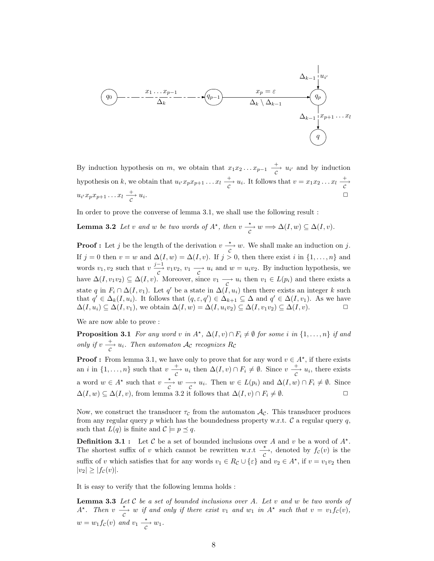q<sup>0</sup> q<sup>p</sup>−<sup>1</sup> q<sup>p</sup> q x<sup>p</sup> = ε ui ′ x<sup>1</sup> . . . x<sup>p</sup>−<sup>1</sup> x<sup>p</sup>+1 . . . x<sup>l</sup> ∆<sup>k</sup> \ ∆<sup>k</sup>−<sup>1</sup> ∆<sup>k</sup>−<sup>1</sup> ∆<sup>k</sup> ∆<sup>k</sup>−<sup>1</sup>

By induction hypothesis on m, we obtain that  $x_1x_2...x_{p-1} \frac{+}{c} u_{i'}$  and by induction hypothesis on k, we obtain that  $u_i x_p x_{p+1} \ldots x_l \stackrel{+}{\underset{C}{\longrightarrow}} u_i$ . It follows that  $v = x_1 x_2 \ldots x_l \stackrel{+}{\underset{C}{\longrightarrow}}$  $u_{i'}x_px_{p+1}\ldots x_l \xrightarrow[c]{+} u_i$ . ✷

In order to prove the converse of lemma 3.1, we shall use the following result :

**Lemma 3.2** Let v and w be two words of 
$$
A^*
$$
, then  $v \xrightarrow{*} w \Longrightarrow \Delta(I, w) \subseteq \Delta(I, v)$ .

**Proof :** Let j be the length of the derivation  $v \xrightarrow[ C ]{\infty} w$ . We shall make an induction on j. If j = 0 then v = w and  $\Delta(I, w) = \Delta(I, v)$ . If j > 0, then there exist i in {1, ..., n} and words  $v_1, v_2$  such that  $v \frac{j-1}{c} v_1 v_2, v_1 \frac{\partial v_1}{\partial u} u_i$  and  $w = u_i v_2$ . By induction hypothesis, we have  $\Delta(I, v_1v_2) \subseteq \Delta(I, v)$ . Moreover, since  $v_1 \longrightarrow u_i$  then  $v_1 \in L(p_i)$  and there exists a state q in  $F_i \cap \Delta(I, v_1)$ . Let q' be a state in  $\Delta(I, u_i)$  then there exists an integer k such that  $q' \in \Delta_k(I, u_i)$ . It follows that  $(q, \varepsilon, q') \in \Delta_{k+1} \subseteq \Delta$  and  $q' \in \Delta(I, v_1)$ . As we have  $\Delta(I, u_i) \subseteq \Delta(I, v_1)$ , we obtain  $\Delta(I, w) = \Delta(I, u_i v_2) \subseteq \Delta(I, v_1 v_2) \subseteq \Delta(I, v)$ .

We are now able to prove :

**Proposition 3.1** For any word v in  $A^*$ ,  $\Delta(I, v) \cap F_i \neq \emptyset$  for some i in  $\{1, \ldots, n\}$  if and only if  $v \frac{+}{c} u_i$ . Then automaton  $\mathcal{A}_{\mathcal{C}}$  recognizes  $R_{\mathcal{C}}$ 

**Proof :** From lemma 3.1, we have only to prove that for any word  $v \in A^*$ , if there exists an *i* in  $\{1,\ldots,n\}$  such that  $v \stackrel{+}{\longrightarrow} u_i$  then  $\Delta(I, v) \cap F_i \neq \emptyset$ . Since  $v \stackrel{+}{\longrightarrow} u_i$ , there exists a word  $w \in A^*$  such that  $v \xrightarrow[c]{*} w \xrightarrow[c]{\cdot} u_i$ . Then  $w \in L(p_i)$  and  $\Delta(I, w) \cap F_i \neq \emptyset$ . Since  $\Delta(I, w) \subseteq \Delta(I, v)$ , from lemma 3.2 it follows that  $\Delta(I, v) \cap F_i \neq \emptyset$ .

Now, we construct the transducer  $\tau_c$  from the automaton  $\mathcal{A}_{\mathcal{C}}$ . This transducer produces from any regular query p which has the boundedness property w.r.t.  $\mathcal C$  a regular query q, such that  $L(q)$  is finite and  $C \models p \preceq q$ .

**Definition 3.1**: Let C be a set of bounded inclusions over A and v be a word of  $A^*$ . The shortest suffix of v which cannot be rewritten w.r.t  $\frac{\star}{c}$ , denoted by  $f_c(v)$  is the suffix of v which satisfies that for any words  $v_1 \in R_{\mathcal{C}} \cup \{\varepsilon\}$  and  $v_2 \in A^*$ , if  $v = v_1v_2$  then  $|v_2| \ge |f_c(v)|$ .

It is easy to verify that the following lemma holds :

**Lemma 3.3** Let  $C$  be a set of bounded inclusions over A. Let  $v$  and  $w$  be two words of A<sup>\*</sup>. Then  $v \xrightarrow[c]{\star} w$  if and only if there exist  $v_1$  and  $w_1$  in  $A^*$  such that  $v = v_1 f_c(v)$ ,  $w = w_1 f_c(v)$  and  $v_1 \xrightarrow[c]{*} w_1$ .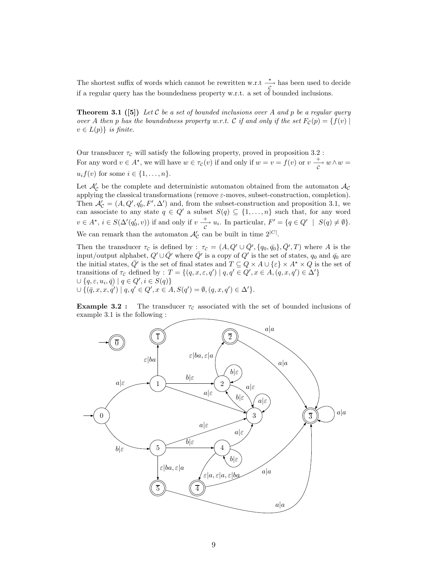The shortest suffix of words which cannot be rewritten w.r.t  $\frac{\star}{c}$  has been used to decide if a regular query has the boundedness property w.r.t. a set of bounded inclusions.

**Theorem 3.1** ([5]) Let C be a set of bounded inclusions over A and p be a regular query over A then p has the boundedness property w.r.t. C if and only if the set  $F_c(p) = \{f(v) \mid$  $v \in L(p)$  is finite.

Our transducer  $\tau_c$  will satisfy the following property, proved in proposition 3.2 : For any word  $v \in A^*$ , we will have  $w \in \tau_c(v)$  if and only if  $w = v = f(v)$  or  $v \xrightarrow[c]{\tau} w \wedge w =$  $u_i f(v)$  for some  $i \in \{1, \ldots, n\}.$ 

Let  $\mathcal{A}'_{\mathcal{C}}$  be the complete and deterministic automaton obtained from the automaton  $\mathcal{A}_{\mathcal{C}}$ applying the classical transformations (remove  $\varepsilon$ -moves, subset-construction, completion). Then  $\mathcal{A}'_{\mathcal{C}} = (A, Q', q'_0, F', \Delta')$  and, from the subset-construction and proposition 3.1, we can associate to any state  $q \in Q'$  a subset  $S(q) \subseteq \{1, ..., n\}$  such that, for any word  $v \in A^{\star}, i \in S(\Delta'(q'_0, v))$  if and only if  $v \stackrel{+}{\longrightarrow} u_i$ . In particular,  $F' = \{q \in Q' \mid S(q) \neq \emptyset\}.$ We can remark than the automaton  $\mathcal{A}'_{\mathcal{C}}$  can be built in time  $2^{|C|}$ .

Then the transducer  $\tau_c$  is defined by :  $\tau_c = (A, Q' \cup \bar{Q'}, \{q_0, \bar{q_0}\}, \bar{Q'}, T)$  where A is the input/output alphabet,  $Q' \cup \bar{Q}'$  where  $\bar{Q}'$  is a copy of  $Q'$  is the set of states,  $q_0$  and  $\bar{q_0}$  are the initial states,  $\bar{Q}'$  is the set of final states and  $T \subseteq Q \times A \cup {\epsilon} \times A^* \times Q$  is the set of transitions of  $\tau_c$  defined by :  $T = \{(q, x, \varepsilon, q') \mid q, q' \in Q', x \in A, (q, x, q') \in \Delta'\}\$  $\cup \{q, \varepsilon, u_i, \overline{q}) \mid q \in Q', i \in S(q)\}$  $\cup \{(\bar{q}, x, x, \bar{q'}) \mid q, q' \in Q', x \in A, S(q') = \emptyset, (q, x, q') \in \Delta'\}.$ 

**Example 3.2 :** The transducer  $\tau_c$  associated with the set of bounded inclusions of example 3.1 is the following :

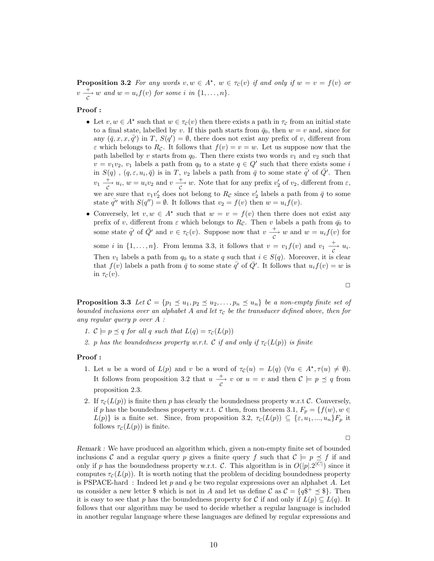**Proposition 3.2** For any words  $v, w \in A^*$ ,  $w \in \tau_c(v)$  if and only if  $w = v = f(v)$  or  $v \stackrel{+}{\rightharpoonup} w$  and  $w = u_i f(v)$  for some i in  $\{1, \ldots, n\}.$ 

#### Proof :

- Let  $v, w \in A^*$  such that  $w \in \tau_c(v)$  then there exists a path in  $\tau_c$  from an initial state to a final state, labelled by v. If this path starts from  $\bar{q}_0$ , then  $w = v$  and, since for any  $(\bar{q}, x, x, \bar{q}')$  in T,  $S(q') = \emptyset$ , there does not exist any prefix of v, different from  $\varepsilon$  which belongs to  $R_c$ . It follows that  $f(v) = v = w$ . Let us suppose now that the path labelled by v starts from  $q_0$ . Then there exists two words  $v_1$  and  $v_2$  such that  $v = v_1v_2$ ,  $v_1$  labels a path from  $q_0$  to a state  $q \in Q'$  such that there exists some i in  $S(q)$ ,  $(q, \varepsilon, u_i, \bar{q})$  is in T,  $v_2$  labels a path from  $\bar{q}$  to some state  $\bar{q}'$  of  $\bar{Q}'$ . Then  $v_1 \frac{+}{c} u_i, w = u_i v_2$  and  $v \frac{+}{c} w$ . Note that for any prefix  $v'_2$  of  $v_2$ , different from  $\varepsilon$ , we are sure that  $v_1v_2'$  does not belong to  $R_{\mathcal{C}}$  since  $v_2'$  labels a path from  $\bar{q}$  to some state  $\bar{q''}$  with  $S(q'') = \emptyset$ . It follows that  $v_2 = f(v)$  then  $w = u_i f(v)$ .
- Conversely, let  $v, w \in A^*$  such that  $w = v = f(v)$  then there does not exist any prefix of v, different from  $\varepsilon$  which belongs to  $R_{\mathcal{C}}$ . Then v labels a path from  $\bar{q}_0$  to some state  $\bar{q}'$  of  $\bar{Q}'$  and  $v \in \tau_c(v)$ . Suppose now that  $v \frac{+}{c} w$  and  $w = u_i f(v)$  for some *i* in  $\{1, \ldots, n\}$ . From lemma 3.3, it follows that  $v = v_1 f(v)$  and  $v_1 \stackrel{+}{\underset{C}{\longrightarrow}} u_i$ . Then  $v_1$  labels a path from  $q_0$  to a state q such that  $i \in S(q)$ . Moreover, it is clear that  $f(v)$  labels a path from  $\bar{q}$  to some state  $\bar{q'}$  of  $\bar{Q'}$ . It follows that  $u_i f(v) = w$  is in  $\tau_{\mathcal{C}}(v)$ .

 $\Box$ 

**Proposition 3.3** Let  $C = \{p_1 \leq u_1, p_2 \leq u_2, \ldots, p_n \leq u_n\}$  be a non-empty finite set of bounded inclusions over an alphabet A and let  $\tau_c$  be the transducer defined above, then for any regular query p over A :

- 1.  $\mathcal{C} \models p \preceq q$  for all q such that  $L(q) = \tau_c(L(p))$
- 2. p has the boundedness property w.r.t. C if and only if  $\tau_c(L(p))$  is finite

#### Proof :

- 1. Let u be a word of  $L(p)$  and v be a word of  $\tau_{\mathcal{C}}(u) = L(q)$  ( $\forall u \in A^*, \tau(u) \neq \emptyset$ ). It follows from proposition 3.2 that  $u \xrightarrow[c]{+} v$  or  $u = v$  and then  $C \models p \preceq q$  from proposition 2.3.
- 2. If  $\tau_c(L(p))$  is finite then p has clearly the boundedness property w.r.t C. Conversely, if p has the boundedness property w.r.t. C then, from theorem 3.1,  $F_p = \{f(w), w \in$  $L(p)$  is a finite set. Since, from proposition 3.2,  $\tau_c(L(p)) \subseteq {\varepsilon, u_1, ..., u_n}F_p$  it follows  $\tau_c(L(p))$  is finite.

 $\Box$ 

Remark : We have produced an algorithm which, given a non-empty finite set of bounded inclusions C and a regular query p gives a finite query f such that  $\mathcal{C} \models p \preceq f$  if and only if p has the boundedness property w.r.t. C. This algorithm is in  $O(|p| \cdot 2^{|C|})$  since it computes  $\tau_c(L(p))$ . It is worth noting that the problem of deciding boundedness property is PSPACE-hard : Indeed let p and q be two regular expressions over an alphabet A. Let us consider a new letter \$ which is not in A and let us define C as  $C = \{q\$ <sup> $\pm \leq$ </sup>\$ $\}$ . Then it is easy to see that p has the boundedness property for C if and only if  $L(p) \subseteq L(q)$ . It follows that our algorithm may be used to decide whether a regular language is included in another regular language where these languages are defined by regular expressions and